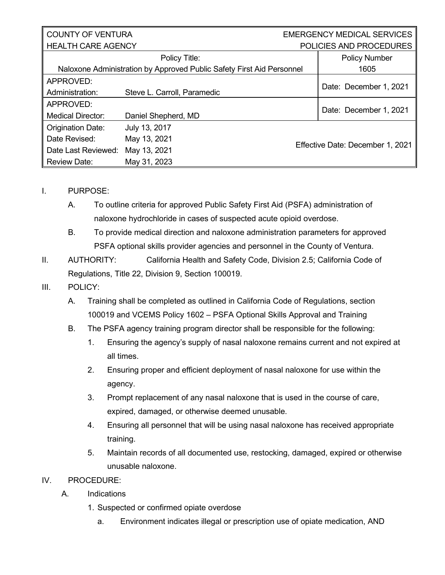## COUNTY OF VENTURA  $\parallel$  HEALTH CARE AGENCY

## EMERGENCY MEDICAL SERVICES POLICIES AND PROCEDURES

|                                                                       | Policy Title:               |  | <b>Policy Number</b>             |  |
|-----------------------------------------------------------------------|-----------------------------|--|----------------------------------|--|
| Naloxone Administration by Approved Public Safety First Aid Personnel |                             |  | 1605                             |  |
| APPROVED:                                                             |                             |  |                                  |  |
| Administration:                                                       | Steve L. Carroll, Paramedic |  | Date: December 1, 2021           |  |
| APPROVED:                                                             |                             |  |                                  |  |
| <b>Medical Director:</b>                                              | Daniel Shepherd, MD         |  | Date: December 1, 2021           |  |
| <b>Origination Date:</b>                                              | July 13, 2017               |  | Effective Date: December 1, 2021 |  |
| Date Revised:                                                         | May 13, 2021                |  |                                  |  |
| Date Last Reviewed:                                                   | May 13, 2021                |  |                                  |  |
| <b>Review Date:</b>                                                   | May 31, 2023                |  |                                  |  |

## I. PURPOSE:

- A. To outline criteria for approved Public Safety First Aid (PSFA) administration of naloxone hydrochloride in cases of suspected acute opioid overdose.
- B. To provide medical direction and naloxone administration parameters for approved PSFA optional skills provider agencies and personnel in the County of Ventura.

II. AUTHORITY: California Health and Safety Code, Division 2.5; California Code of Regulations, Title 22, Division 9, Section 100019.

- III. POLICY:
	- A. Training shall be completed as outlined in California Code of Regulations, section 100019 and VCEMS Policy 1602 – PSFA Optional Skills Approval and Training
	- B. The PSFA agency training program director shall be responsible for the following:
		- 1. Ensuring the agency's supply of nasal naloxone remains current and not expired at all times.
		- 2. Ensuring proper and efficient deployment of nasal naloxone for use within the agency.
		- 3. Prompt replacement of any nasal naloxone that is used in the course of care, expired, damaged, or otherwise deemed unusable.
		- 4. Ensuring all personnel that will be using nasal naloxone has received appropriate training.
		- 5. Maintain records of all documented use, restocking, damaged, expired or otherwise unusable naloxone.

## IV. PROCEDURE:

- A. Indications
	- 1. Suspected or confirmed opiate overdose
		- a. Environment indicates illegal or prescription use of opiate medication, AND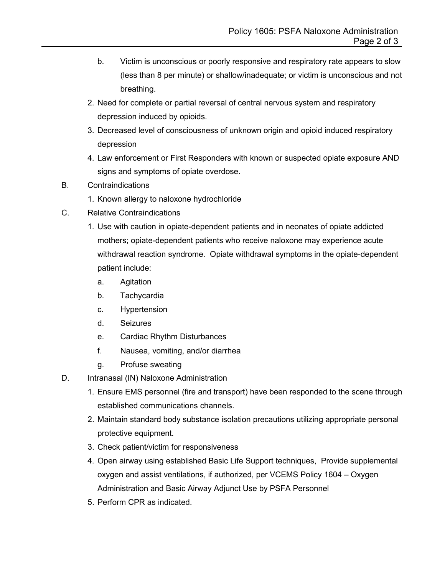- b. Victim is unconscious or poorly responsive and respiratory rate appears to slow (less than 8 per minute) or shallow/inadequate; or victim is unconscious and not breathing.
- 2. Need for complete or partial reversal of central nervous system and respiratory depression induced by opioids.
- 3. Decreased level of consciousness of unknown origin and opioid induced respiratory depression
- 4. Law enforcement or First Responders with known or suspected opiate exposure AND signs and symptoms of opiate overdose.
- B. Contraindications
	- 1. Known allergy to naloxone hydrochloride
- C. Relative Contraindications
	- 1. Use with caution in opiate-dependent patients and in neonates of opiate addicted mothers; opiate-dependent patients who receive naloxone may experience acute withdrawal reaction syndrome. Opiate withdrawal symptoms in the opiate-dependent patient include:
		- a. Agitation
		- b. Tachycardia
		- c. Hypertension
		- d. Seizures
		- e. Cardiac Rhythm Disturbances
		- f. Nausea, vomiting, and/or diarrhea
		- g. Profuse sweating
- D. Intranasal (IN) Naloxone Administration
	- 1. Ensure EMS personnel (fire and transport) have been responded to the scene through established communications channels.
	- 2. Maintain standard body substance isolation precautions utilizing appropriate personal protective equipment.
	- 3. Check patient/victim for responsiveness
	- 4. Open airway using established Basic Life Support techniques, Provide supplemental oxygen and assist ventilations, if authorized, per VCEMS Policy 1604 – Oxygen Administration and Basic Airway Adjunct Use by PSFA Personnel
	- 5. Perform CPR as indicated.